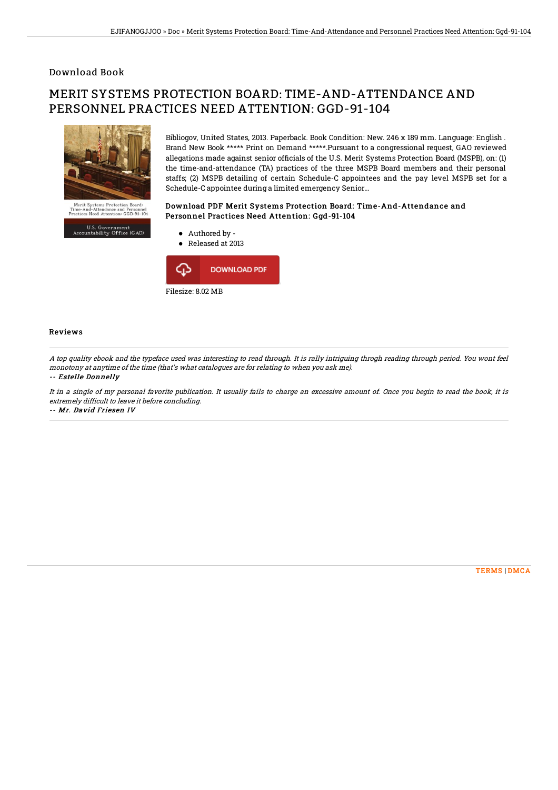### Download Book

# MERIT SYSTEMS PROTECTION BOARD: TIME-AND-ATTENDANCE AND PERSONNEL PRACTICES NEED ATTENTION: GGD-91-104



U.S. Government<br>Accountability Office (GAO)

Bibliogov, United States, 2013. Paperback. Book Condition: New. 246 x 189 mm. Language: English . Brand New Book \*\*\*\*\* Print on Demand \*\*\*\*\*.Pursuant to a congressional request, GAO reviewed allegations made against senior officials of the U.S. Merit Systems Protection Board (MSPB), on: (1) the time-and-attendance (TA) practices of the three MSPB Board members and their personal staffs; (2) MSPB detailing of certain Schedule-C appointees and the pay level MSPB set for a Schedule-C appointee during a limited emergency Senior...

#### Download PDF Merit Systems Protection Board: Time-And-Attendance and Personnel Practices Need Attention: Ggd-91-104



#### Reviews

Practi

A top quality ebook and the typeface used was interesting to read through. It is rally intriguing throgh reading through period. You wont feel monotony at anytime of the time (that's what catalogues are for relating to when you ask me). -- Estelle Donnelly

It in <sup>a</sup> single of my personal favorite publication. It usually fails to charge an excessive amount of. Once you begin to read the book, it is extremely difficult to leave it before concluding. -- Mr. David Friesen IV